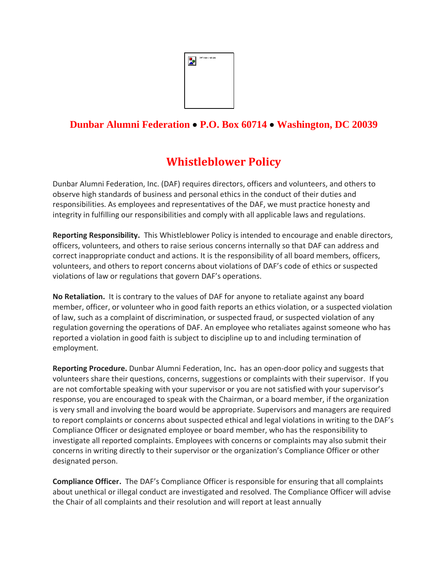

## **Dunbar Alumni Federation** • **P.O. Box 60714** • **Washington, DC 20039**

## **Whistleblower Policy**

Dunbar Alumni Federation, Inc. (DAF) requires directors, officers and volunteers, and others to observe high standards of business and personal ethics in the conduct of their duties and responsibilities. As employees and representatives of the DAF, we must practice honesty and integrity in fulfilling our responsibilities and comply with all applicable laws and regulations.

**Reporting Responsibility.** This Whistleblower Policy is intended to encourage and enable directors, officers, volunteers, and others to raise serious concerns internally so that DAF can address and correct inappropriate conduct and actions. It is the responsibility of all board members, officers, volunteers, and others to report concerns about violations of DAF's code of ethics or suspected violations of law or regulations that govern DAF's operations.

**No Retaliation.** It is contrary to the values of DAF for anyone to retaliate against any board member, officer, or volunteer who in good faith reports an ethics violation, or a suspected violation of law, such as a complaint of discrimination, or suspected fraud, or suspected violation of any regulation governing the operations of DAF. An employee who retaliates against someone who has reported a violation in good faith is subject to discipline up to and including termination of employment.

**Reporting Procedure.** Dunbar Alumni Federation, Inc**.** has an open-door policy and suggests that volunteers share their questions, concerns, suggestions or complaints with their supervisor. If you are not comfortable speaking with your supervisor or you are not satisfied with your supervisor's response, you are encouraged to speak with the Chairman, or a board member, if the organization is very small and involving the board would be appropriate. Supervisors and managers are required to report complaints or concerns about suspected ethical and legal violations in writing to the DAF's Compliance Officer or designated employee or board member, who has the responsibility to investigate all reported complaints. Employees with concerns or complaints may also submit their concerns in writing directly to their supervisor or the organization's Compliance Officer or other designated person.

**Compliance Officer.** The DAF's Compliance Officer is responsible for ensuring that all complaints about unethical or illegal conduct are investigated and resolved. The Compliance Officer will advise the Chair of all complaints and their resolution and will report at least annually